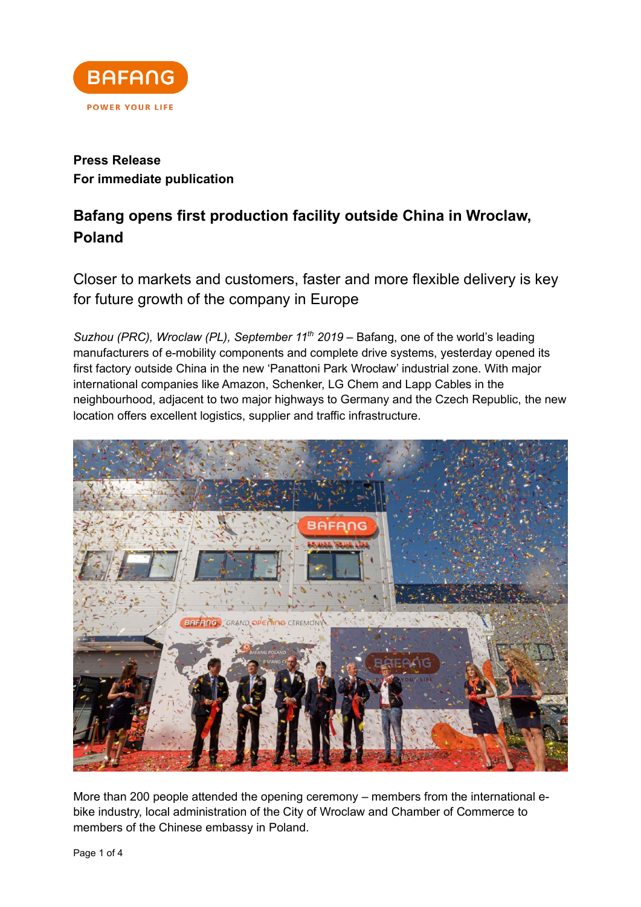

## **Press Release For immediate publication**

## **Bafang opens first production facility outside China in Wroclaw, Poland**

Closer to markets and customers, faster and more flexible delivery is key for future growth of the company in Europe

*Suzhou (PRC), Wroclaw (PL), September 11 th 2019* – Bafang, one of the world's leading manufacturers of e-mobility components and complete drive systems, yesterday opened its first factory outside China in the new 'Panattoni Park Wrocław' industrial zone. With major international companies like Amazon, Schenker, LG Chem and Lapp Cables in the neighbourhood, adjacent to two major highways to Germany and the Czech Republic, the new location offers excellent logistics, supplier and traffic infrastructure.



More than 200 people attended the opening ceremony – members from the international ebike industry, local administration of the City of Wroclaw and Chamber of Commerce to members of the Chinese embassy in Poland.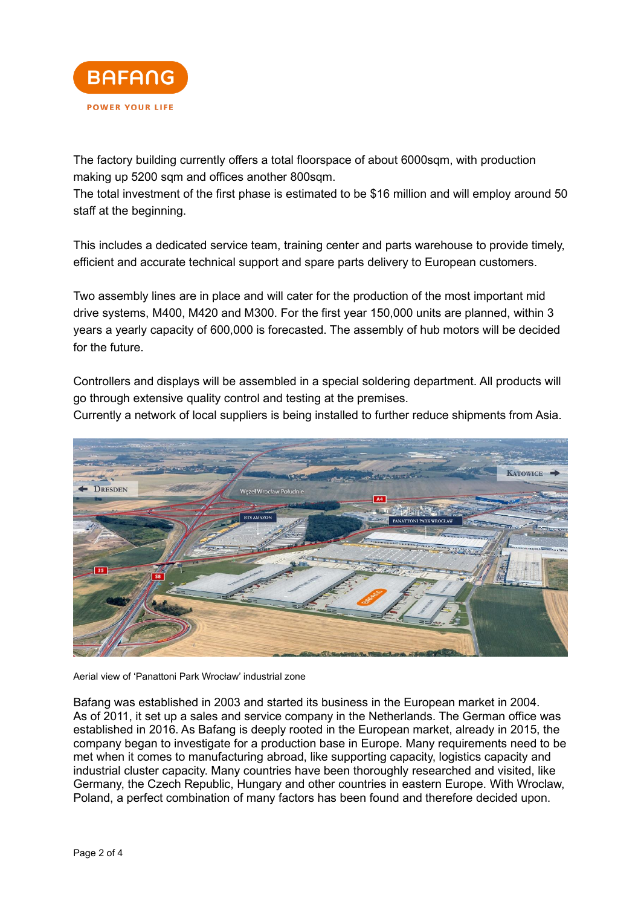

The factory building currently offers a total floorspace of about 6000sqm, with production making up 5200 sqm and offices another 800sqm.

The total investment of the first phase is estimated to be \$16 million and will employ around 50 staff at the beginning.

This includes a dedicated service team, training center and parts warehouse to provide timely, efficient and accurate technical support and spare parts delivery to European customers.

Two assembly lines are in place and will cater for the production of the most important mid drive systems, M400, M420 and M300. For the first year 150,000 units are planned, within 3 years a yearly capacity of 600,000 is forecasted. The assembly of hub motors will be decided for the future.

Controllers and displays will be assembled in a special soldering department. All products will go through extensive quality control and testing at the premises.

Currently a network of local suppliers is being installed to further reduce shipments from Asia.



Aerial view of 'Panattoni Park Wrocław' industrial zone

Bafang was established in 2003 and started its business in the European market in 2004. As of 2011, it set up a sales and service company in the Netherlands. The German office was established in 2016. As Bafang is deeply rooted in the European market, already in 2015, the company began to investigate for a production base in Europe. Many requirements need to be met when it comes to manufacturing abroad, like supporting capacity, logistics capacity and industrial cluster capacity. Many countries have been thoroughly researched and visited, like Germany, the Czech Republic, Hungary and other countries in eastern Europe. With Wroclaw, Poland, a perfect combination of many factors has been found and therefore decided upon.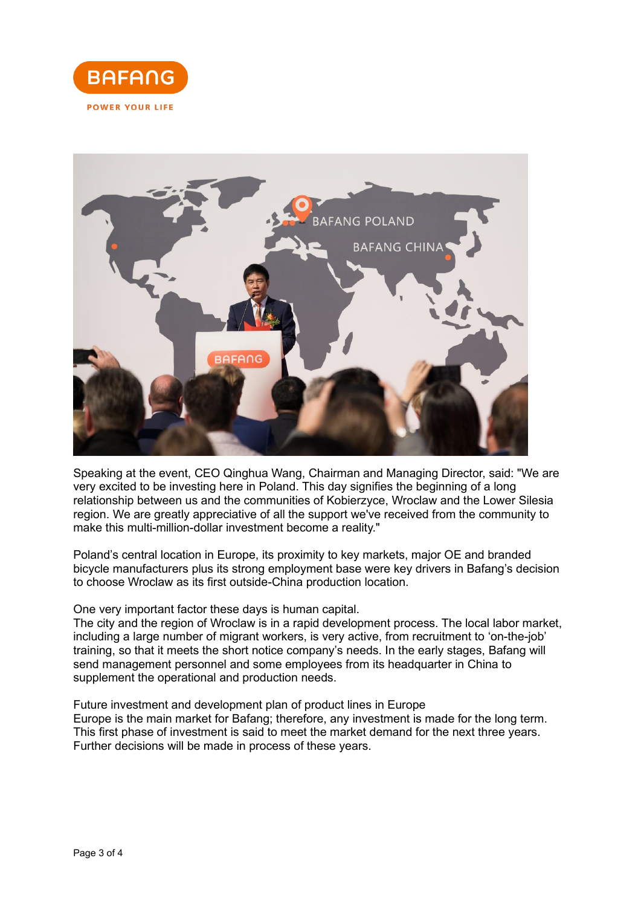



Speaking at the event, CEO Qinghua Wang, Chairman and Managing Director, said: "We are very excited to be investing here in Poland. This day signifies the beginning of a long relationship between us and the communities of Kobierzyce, Wroclaw and the Lower Silesia region. We are greatly appreciative of all the support we've received from the community to make this multi-million-dollar investment become a reality."

Poland's central location in Europe, its proximity to key markets, major OE and branded bicycle manufacturers plus its strong employment base were key drivers in Bafang's decision to choose Wroclaw as its first outside-China production location.

One very important factor these days is human capital.

The city and the region of Wroclaw is in a rapid development process. The local labor market, including a large number of migrant workers, is very active, from recruitment to 'on-the-job' training, so that it meets the short notice company's needs. In the early stages, Bafang will send management personnel and some employees from its headquarter in China to supplement the operational and production needs.

Future investment and development plan of product lines in Europe Europe is the main market for Bafang; therefore, any investment is made for the long term. This first phase of investment is said to meet the market demand for the next three years. Further decisions will be made in process of these years.